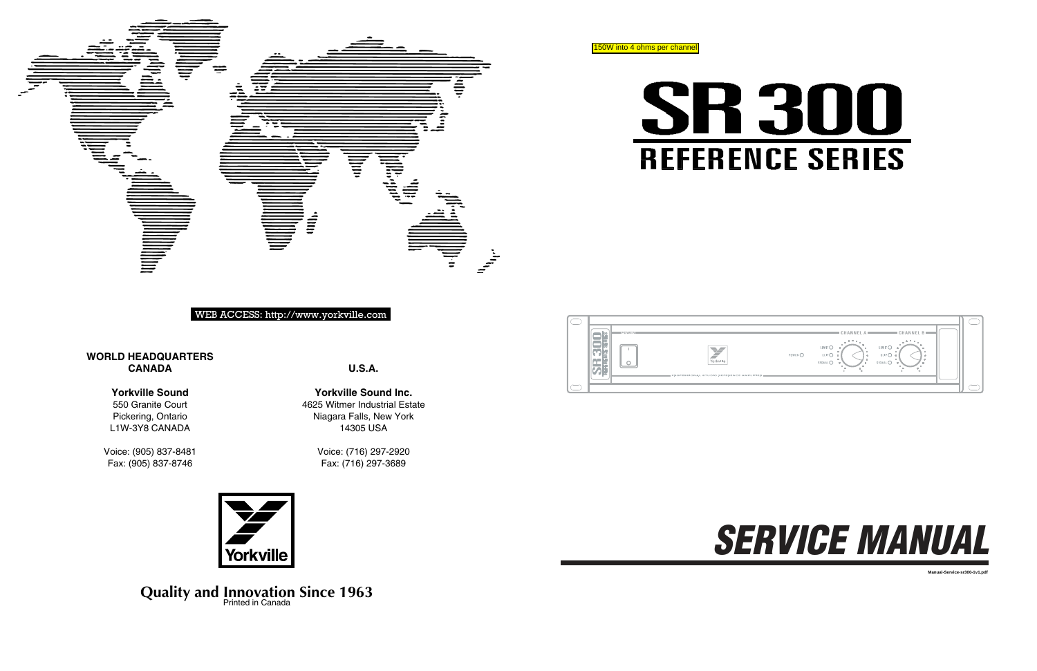**U.S.A.**

**Yorkville Sound Inc.** 4625 Witmer Industrial Estate Niagara Falls, New York 14305 USA

> Voice: (716) 297-2920 Fax: (716) 297-3689



# **WORLD HEADQUARTERS CANADA**





# WEB ACCESS: http://www.yorkville.com

# **Yorkville Sound**

550 Granite Court Pickering, Ontario L1W-3Y8 CANADA

Voice: (905) 837-8481 Fax: (905) 837-8746

# **Quality and Innovation Since 1963** Printed in Canada

|  | POWER<br>SERIES              |                                         |
|--|------------------------------|-----------------------------------------|
|  | ö<br>ù<br>ä<br><b>REFERE</b> | Yorkville                               |
|  | ۰                            | PROFESSIONAL STUDIO REFERENCE AMPLIFIES |
|  |                              |                                         |





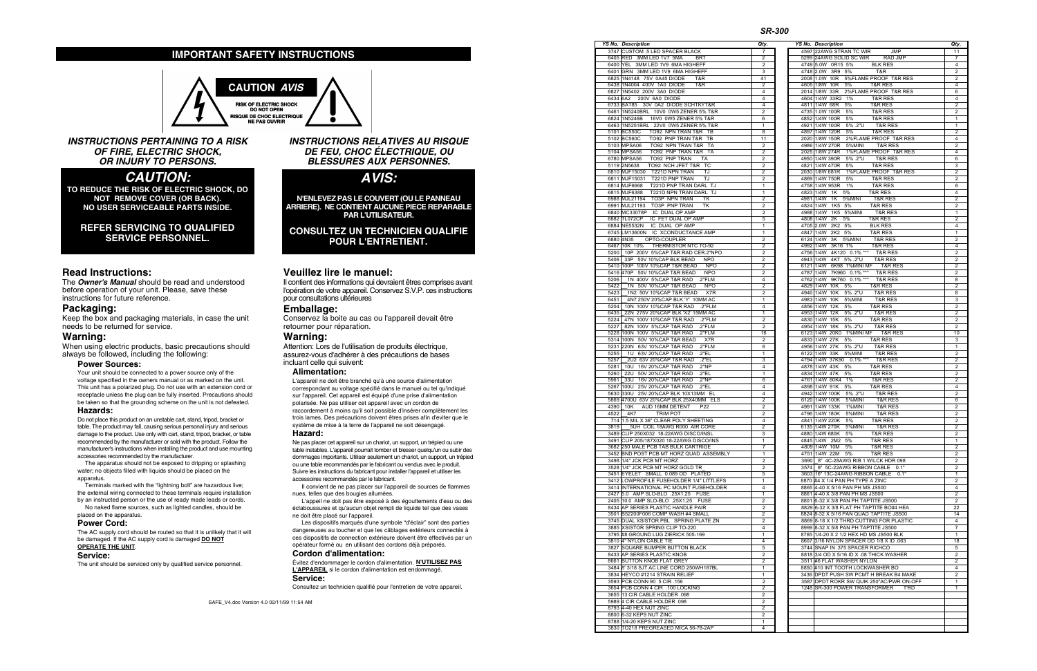# **IMPORTANT SAFETY INSTRUCTIONS**



**INSTRUCTIONS PERTAINING TO A RISK OF FIRE, ELECTRIC SHOCK, OR INJURY TO PERSONS.**

# **CAUTION :**

TO REDUCE THE RISK OF ELECTRIC SHOCK, DO NOT REMOVE COVER (OR BACK). NO USER SERVICEABLE PARTS INSIDE.

## REFER SERVICING TO QUALIFIED SERVICE PERSONNEL.

# Read Instructions:

The **Owner's Manual** should be read and understood before operation of your unit. Please, save these instructions for future reference.

# **Packaging:**

Keep the box and packaging materials, in case the unit needs to be returned for service.

# Warning:

When using electric products, basic precautions should always be followed, including the following:

#### **Power Sources:**

Your unit should be connected to a power source only of the voltage specified in the owners manual or as marked on the unit. This unit has a polarized plug. Do not use with an extension cord or receptacle unless the plug can be fully inserted. Precautions should be taken so that the grounding scheme on the unit is not defeated.

#### **Hazards:**

Do not place this product on an unstable cart, stand, tripod, bracket or table. The product may fall, causing serious personal injury and serious damage to the product. Use only with cart, stand, tripod, bracket, or table recommended by the manufacturer or sold with the product. Follow the manufacturer's instructions when installing the product and use mounting accessories recommended by the manufacturer.

The apparatus should not be exposed to dripping or splashing water; no objects filled with liquids should be placed on the apparatus.

Terminals marked with the "lightning bolt" are hazardous live; the external wiring connected to these terminals require installation by an instructed person or the use of ready made leads or cords.

No naked flame sources, such as lighted candles, should be placed on the apparatus.

#### **Power Cord:**

The AC supply cord should be routed so that it is unlikely that it will be damaged. If the AC supply cord is damaged **DO NOT O P E R A T E T H E U N I T** .

# **Service:**

The unit should be serviced only by qualified service personnel.

#### **INSTRUCTIONS RELATIVES AU RISQUE DE FEU, CHOC ÉLECTRIQUE, OU BLESSURES AUX PERSONNES.**

**AVIS:**

N'ENLEVEZ PAS LE COUVERT (OU LE PANNEAU ARRIERE). NE CONTIENT AUCUNE PIECE REPARABLE **PAR L'UTILISATEUR.** 

**CONSULTEZ UN TECHNICIEN QUALIFIE POUR L'ENTRETIENT.** 

# Veuillez lire le manuel:

Il contient des informations qui devraient êtres comprises avant l'opération de votre appareil. Conservez S.V.P. ces instructions pour consultations ultérieures

# Emballage:

Conservez la boite au cas ou l'appareil devait être retourner pour réparation.

# **Warning:**

Attention: Lors de l'utilisation de produits électrique, assurez-vous d'adhérer à des précautions de bases incluant celle qui suivent:

#### **A l i m e n t a t i o n :**

L'appareil ne doit être branché qu'à une source d'alimentation correspondant au voltage spécifié dans le manuel ou tel qu'indiqué sur l'appareil. Cet appareil est équipé d'une prise d'alimentation polarisée. Ne pas utiliser cet appareil avec un cordon de raccordement à moins qu'il soit possible d'insérer complètement les trois lames. Des précautions doivent êtres prises afin d'eviter que le système de mise à la terre de l'appareil ne soit désengagé.

#### **Hazard:**

Ne pas placer cet appareil sur un chariot, un support, un trépied ou une table instables. L'appareil pourrait tomber et blesser quelqu'un ou subir des dommages importants. Utiliser seulement un chariot, un support, un trépied ou une table recommandés par le fabricant ou vendus avec le produit. Suivre les instructions du fabricant pour installer l'appareil et utiliser les accessoires recommandés par le fabricant.

Il convient de ne pas placer sur l'appareil de sources de flammes nues, telles que des bougies allumées.

L'appeil ne doit pas être exposé à des égouttements d'eau ou des éclaboussures et qu'aucun objet rempli de liquide tel que des vases ne doit être placé sur l'appareil.

Les dispositifs marqués d'une symbole "d'éclair" sont des parties dangereuses au toucher et que les câblages extérieurs connectés à ces dispositifs de connection extérieure doivent être effectivés par un opérateur formé ou en utilisant des cordons déjà préparés.

#### **Cordon d'alimentation:**

Évitez d'endommager le cordon d'alimentation. N'UTILISEZ PAS **L'APPAREIL** si le cordon d'alimentation est endommagé. **Service:** 

Consultez un technicien qualifié pour l'entretien de votre appareil.

### *S R - 3 0 0*

|      | <b>YS No. Description</b>                                            | Qty.                             |
|------|----------------------------------------------------------------------|----------------------------------|
|      | 4597 22AWG STRAN TC WIR JMP                                          | 11                               |
|      | 5299 24AWG SOLID SC WIR RAD JMP                                      | $\overline{7}$                   |
|      | 4749 5.0W 0R15 5% BLK RES<br>4748 2.0W 3R9 5% T&R                    | $\overline{4}$                   |
|      |                                                                      | $\overline{2}$                   |
|      | 2008 1.0W 10R 5%FLAME PROOF T&R RES                                  | $\overline{2}$<br>$\overline{4}$ |
|      | 4605 1/8W 10R 5% T&R RES<br>2014 1/8W 33R 2%FLAME PROOF T&R RES      | 6                                |
|      | 4604 1/4W 33R2 1% T&R RES                                            | $\overline{4}$                   |
|      | 4811 1/4W 68R 5% T&R RES                                             | $\overline{2}$                   |
|      | 4735 1.0W 100R 5% T&R RES                                            | $\overline{2}$                   |
|      | 4852 1/4W 100R 5% T&R RES                                            | $\mathbf{1}$                     |
|      | 4921 1/4W 100R 5% 2"U T&R RES                                        | $\mathbf{1}$                     |
|      | 4897 1/4W 120R 5% T&R RES                                            | $\overline{2}$                   |
|      | 2020 1/8W 150R 2%FLAME PROOF T&R RES                                 | 4                                |
|      | 4986 1/4W 270R 5%MINI T&R RES                                        | $\overline{2}$                   |
|      | 2025 1/8W 274R 1%FLAME PROOF T&R RES                                 | 4                                |
|      | 4950 1/4W 390R 5% 2"U T&R RES                                        | 6                                |
|      | 4821 1/4W 470R 5% T&R RES                                            | 3                                |
|      | 2030 1/8W 681R 1%FLAME PROOF T&R RES                                 | $\overline{2}$                   |
|      | 4869 1/4W 750R 5% T&R RES                                            | $\overline{2}$                   |
|      | 4758 1/4W 953R 1% T&R RES                                            | 6                                |
|      | 4823 1/4W 1K 5% T&R RES                                              | $\overline{4}$                   |
|      | 4981 1/4W 1K 5%MINI T&R RES                                          | $\overline{2}$                   |
|      | 4824 1/4W 1K5 5% T&R RES                                             | $\overline{2}$                   |
|      | 4988 1/4W 1K5 5%MINI T&R RES                                         | $\mathbf{1}$                     |
|      | 4808 1/4W 2K 5% T&R RES                                              | $\overline{2}$                   |
|      | 4705 2.0W 2K2 5% BLK RES                                             | $\overline{4}$                   |
|      | 4847 1/4W 2K2 5% T&R RES                                             | $\mathbf{1}$                     |
|      | 6124 1/4W 3K 5%MINI T&R RES<br>4992 1/4W 3K16 1% T&R RES             | $\overline{2}$<br>$\overline{4}$ |
|      |                                                                      |                                  |
|      | 4756 1/4W 4K120 0.1% *** T&R RES<br>4943 1/4W 4K7 5% 2"U T&R RES     | $\overline{2}$<br>$\overline{2}$ |
|      | 6121 1/4W 6K98 1% MINI MF T&R RES                                    | $\overline{2}$                   |
|      | 4787 1/4W 7K960 0.1% *** T&R RES                                     | $\overline{2}$                   |
|      | 4762 1/4W 9K760 0.1% *** T&R RES                                     | 8                                |
|      | 4829 1/4W 10K 5% T&R RES                                             | $\overline{\mathbf{c}}$          |
|      | 4940 1/4W 10K 5% 2"U T&R RES                                         | 8                                |
|      | 4983 1/4W 10K 5%MINI T&R RES                                         | 3                                |
|      | 4856 1/4W 12K 5% T&R RES                                             | $\overline{2}$                   |
|      | 4953 1/4W 12K 5% 2"U T&R RES                                         | $\overline{2}$                   |
|      |                                                                      | $\overline{2}$                   |
|      | 4830 1/4W 15K 5% T&R RES<br>4954 1/4W 18K 5% 2"U T&R RES             | $\overline{2}$                   |
|      | 6123 1/4W 20K0 1%MINI MF T&R RES                                     | 10                               |
|      | 4833 1/4W 27K 5% T&R RES                                             | 3                                |
|      | 4956 1/4W 27K 5% 2"U T&R RES                                         | 1                                |
|      | 6122 1/4W 33K 5%MINI T&R RES                                         | $\overline{2}$                   |
|      | 4794 1/4W 37K90 0.1% *** T&R RES                                     | $\overline{\mathbf{c}}$          |
|      | 4878 1/4W 43K 5% T&R RES                                             | $\overline{2}$                   |
|      | 4834 1/4W 47K 5% T&R RES                                             | $\overline{2}$                   |
|      | 4761 1/4W 60K4 1% T&R RES<br>4898 1/4W 91K 5% T&R RES                | $\overline{2}$                   |
|      |                                                                      | $\overline{4}$                   |
|      | 4942 1/4W 100K 5% .2"U T&R RES                                       | $\overline{2}$                   |
|      | 6120 1/4W 100K 5%MINI T&R RES                                        | 6                                |
|      | 4991 1/4W 133K 1%MINI T&R RES                                        | $\overline{2}$                   |
|      | 4796 1/4W 180K 5%MINI T&R RES                                        | $\overline{2}$                   |
|      | 4841 1/4W 220K 5% T&R RES                                            | $\mathcal{P}$                    |
|      | 6135 1/4W 270K 5%MINI T&R RES                                        | 2                                |
|      | 4880 1/4W 680K 5% T&R RES                                            | 2                                |
|      | <b>T&amp;R RES</b><br>4845 1/4W 2M2 5%                               | 1                                |
|      | 4809 1/4W 10M 5%<br>T&R RES                                          | 2                                |
|      | 4751 1/4W 22M 5%<br><b>T&amp;R RES</b>                               | 2                                |
|      | 3690 8" 4C-28AWG RIB 1 W/LCK HDR 098                                 | 2                                |
| 3574 | 9" 5C-22AWG RIBBON CABLE 0.1"                                        | 2                                |
|      | 3603 16" 13C-24AWG RIBBON CABLE 0.1"                                 | 1                                |
|      | 8870 #4 X 1/4 PAN PH TYPE A ZINC<br>8865 4-40 X 5/16 PAN PH MS JS500 | 2                                |
|      | 8861 4-40 X 3/8 PAN PH MS JS500                                      | 4<br>$\overline{2}$              |
|      | 8801 6-32 X 3/8 PAN PH TAPTITE JS500                                 | $\overline{2}$                   |
|      | 8829 6-32 X 3/8 FLAT PH TAPTITE BO#4 HEA                             | 22                               |
|      | 8824 8-32 X 5/16 PAN QUAD TAPTITE JS500                              | 14                               |
|      | 8869 8-18 X 1/2 THRD CUTTING FOR PLASTIC                             | $\overline{4}$                   |
|      | 8999 8-32 X 5/8 PAN PH TAPTITE JS500                                 | $\overline{7}$                   |
|      | 8765 1/4-20 X 2 1/2 HEX HD MS JS500 BLK                              | 1                                |
|      | 8607 3/16 NYLON SPACER OD 1/8 X ID .063                              | 18                               |
|      | 3744 SNAP IN .375 SPACER RICHCO                                      | 5                                |
|      | 8818 3/4 OD X 5/16 ID X .08 THICK WASHER                             | 2                                |
|      | 3511 #6 FLAT WASHER NYLON                                            | 2                                |
|      | 8850 #10 INT TOOTH LOCKWASHER BO                                     | 4                                |
|      | 3436 DPDT PUSH SW PCMT H BREAK B4 MAKE                               | 2                                |
|      | 3587 DPDT ROKR SW QUIK 250"AC/PWR ON-OFF                             | 1                                |
|      | 1248 SR-300 POWER TRANSFORMER TRD                                    | 1                                |
|      |                                                                      |                                  |
|      |                                                                      |                                  |
|      |                                                                      |                                  |
|      |                                                                      |                                  |
|      |                                                                      |                                  |
|      |                                                                      |                                  |

|      | <b>YS No. Description</b>                                                 |
|------|---------------------------------------------------------------------------|
|      | 3747 CUSTOM .5 LED SPACER BLACK                                           |
|      | 6405 RED 3MM LED 1V7 5MA BRT                                              |
|      | 6400 YEL 3MM LED 1V9 6MA HIGHEFF                                          |
|      | 6401 GRN 3MM LED 1V9 6MA HIGHEFF                                          |
|      | 6825 1N4148 75V 0A45 DIODE T&R                                            |
|      | 6438 1N4004 400V 1A0 DIODE T&R                                            |
|      | 6827 1N5402 200V 3A0 DIODE<br>6434 6A2 200V 6A0 DIODE                     |
|      | 6733 BAT85 30V 0A2 DIODE SCHTKYT&R                                        |
|      | 6461 1N5240BRL 10V0 0W5 ZENER 5% T&R                                      |
|      | 6824 1N5246B 16V0 0W5 ZENER 5% T&R                                        |
|      | 6463 1N5251BRL 22V0 0W5 ZENER 5% T&R                                      |
|      | 5101 BC550C TO92 NPN TRAN T&R TB                                          |
|      | 5102 BC560C TO92 PNP TRAN T&R TB                                          |
|      | 5103 MPSA06 TO92 NPN TRAN T&R TA<br>5104 MPSA56 TO92 PNP TRAN T&R TA      |
|      | 6780 MPSA56 TO92 PNP TRAN TA                                              |
|      | 5119 2N5638 TO92 NCH JFET T&R TC                                          |
|      | 6810 MJF15030 T221D NPN TRAN TJ                                           |
|      | 6811 MJF15031 T221D PNP TRAN TJ                                           |
|      | 6814 MJF6668 T221D PNP TRAN DARL TJ                                       |
|      | 6815 MJF6388 T221D NPN TRAN DARL TJ                                       |
|      | 6988 MJL21194 TO3P NPN TRAN TK                                            |
|      | 6991 MJL21193 TO3P PNP TRAN TK<br>6840 MC33078P IC DUAL OP AMP            |
|      | 6882 TL072CP IC FET DUAL OP AMP                                           |
|      | 6884 NE5532N IC DUAL OP AMP                                               |
|      | 6745 LM13600N IC XCONDUCTANCE AMP                                         |
|      | 6880 4N35 OPTO-COUPLER                                                    |
|      | 6467 10K 10% THERMISTOR NTC TO-92                                         |
|      | 5200 10P 200V 5%CAP T&R RAD CER.2"NPO                                     |
|      | 5406 33P 50V 10%CAP BLK BEAD NPO<br>5410 100P 100V 10%CAP T&R BEAD NPO    |
|      | 5416 470P 50V 10% CAP T&R BEAD NPO                                        |
|      | 5206 1N 400V 5%CAP T&R RAD .2"FLM                                         |
| 5422 | 1N 50V 10%CAP T&R BEAD NPO                                                |
| 5423 | 1N2 50V 10%CAP T&R BEAD X7R                                               |
|      | 6451 4N7 250V 20% CAP BLK 'Y' 10MM AC                                     |
| 5204 | 10N 100V 10%CAP T&R RAD .2"FLM<br>6435 22N 275V 20%CAP BLK 'X2' 15MM AC   |
|      | 5224 47N 100V 10%CAP T&R RAD .2"FLM                                       |
| 5227 | 82N 100V 5%CAP T&R RAD .2"FLM                                             |
|      | 5228 100N 100V 5%CAP T&R RAD .2"FLM                                       |
|      | 5314 100N 50V 10%CAP T&R BEAD X7R                                         |
|      | 5231 220N 63V 10%CAP T&R RAD .2"FLM                                       |
| 5255 | 1U 63V 20% CAP T&R RAD .2"EL<br>2U2 63V 20%CAP T&R RAD .2"EL              |
| 5257 | 5281 10U 16V 20%CAP T&R RAD .2"NP                                         |
| 5260 | _22U 50V 20%CAP T&R RAD .2"EL                                             |
| 5961 | 33U 16V 20%CAP T&R RAD .2"NP                                              |
|      | 5267 100U 25V 20%CAP T&R RAD .2"EL                                        |
|      | 5630 330U 25V 20%CAP BLK 10X13MM EL                                       |
|      | 5869 4700U 63V 20%CAP BLK 25X40MM ELS<br>4390 10K AUD 16MM DETENT P22     |
|      | 4522 4K7 TRIM POT                                                         |
|      | 714 1.5 MIL X 36" CLEAR POLY SHEETING                                     |
| 3819 | 5UH COIL 18AWG R000 AIR CORE                                              |
|      | 3489 CLIP 250X032 18-22AWG DISCO/INSL                                     |
|      | 3491 CLIP 205/187X020 18-22AWG DISCO/INS                                  |
|      | 3682 250 MALE PCB TAB BULK CARTRIGE                                       |
|      | 3452 BND POST PCB MT HORZ QUAD ASSEMBLY<br>3498 1/4" JCK PCB MT HORZ      |
|      | 3528 1/4" JCK PCB MT HORZ GOLD TR                                         |
|      | 3451 EYELET SMALL 0.089 OD PLATED                                         |
|      | 3412 LOWPROFILE FUSEHOLDER 1/4" LITTLEFS                                  |
|      | 3414 INTERNATIONAL PC MOUNT FUSEHOLDER                                    |
|      | 2427 5.0 AMP SLO-BLO .25X1.25 FUSE                                        |
|      | 2405 10.0 AMP SLO-BLO .25X1.25 FUSE<br>8434 AP SERIES PLASTIC HANDLE PAIR |
|      | 3501 B52200F006 COMP WASH #4 SMALL                                        |
|      | 3745 DUAL XSISTOR PBL SPRING PLATE ZN                                     |
|      | 3885 XSISTOR SPRING CLIP TO-220                                           |
|      | 3795 #8 GROUND LUG ZIERICK 505-169                                        |
|      | 3810 4" NYLON CABLE TIE                                                   |
|      | 3827 SQUARE BUMPER BUTTON BLACK                                           |
|      | 8433 AP SERIES PLASTIC KNOB<br>8661 BUTTON KNOB FLAT GREY                 |
|      | 3484 8' 3/18 SJT AC LINE CORD 250WH187BL                                  |
|      | 3834 HEYCO #1214 STRAIN RELIEF                                            |
|      | 3593 PCB CONN 90 5 CIR .156                                               |
|      | 3654 PCB CONN 4 CIR .100 LOCKING                                          |
|      | 3655 13 CIR CABLE HOLDER .098                                             |
|      | 5989 4 CIR CABLE HOLDER .098<br>8793 4-40 HEX NUT ZINC                    |
|      | 8800 6-32 KEPS NUT ZINC                                                   |
|      |                                                                           |
|      |                                                                           |
|      | 8788 1/4-20 KEPS NUT ZINC<br>3830 TO218 PREGREASED MICA 56-78-2AP         |

1

4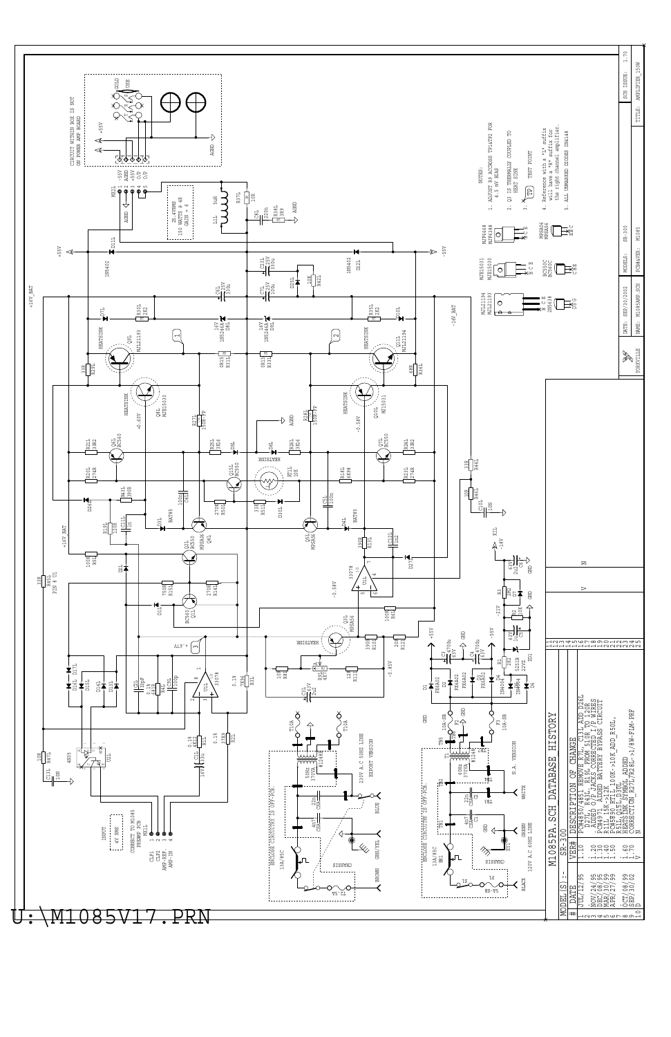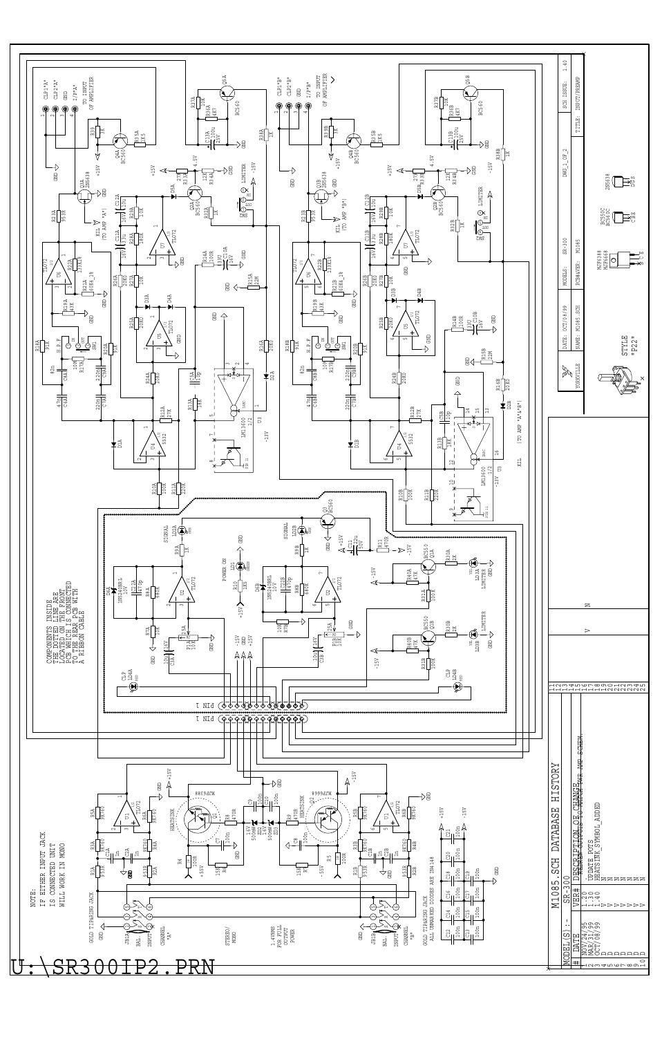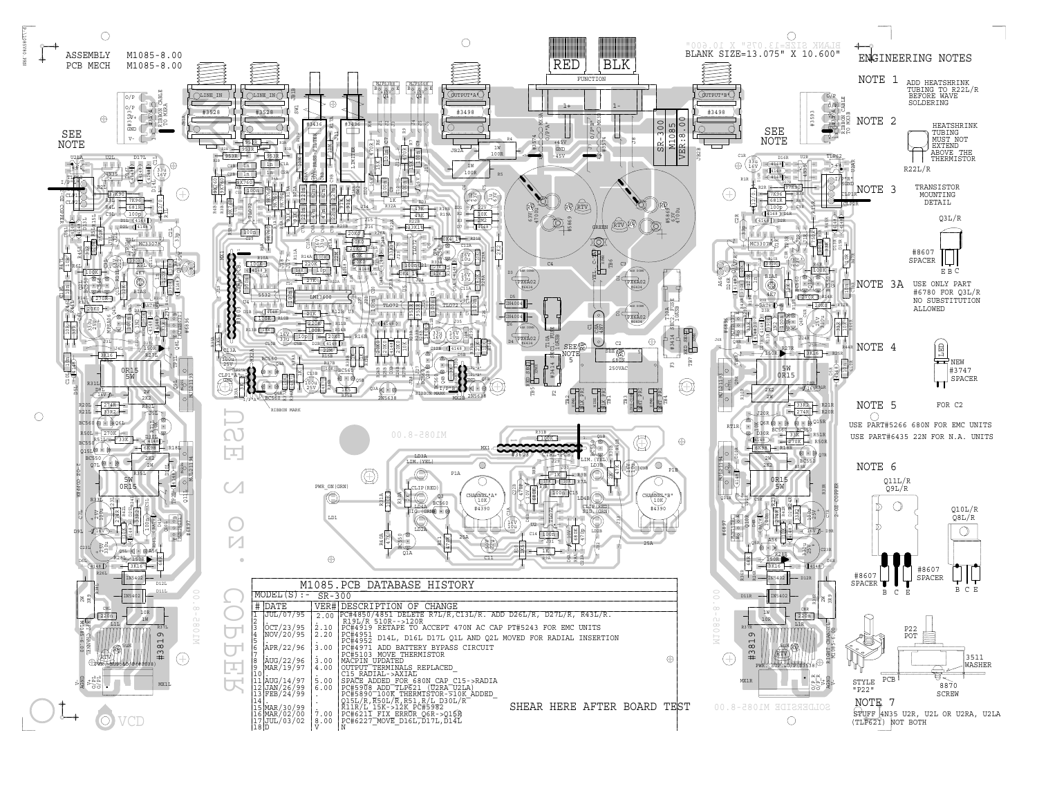